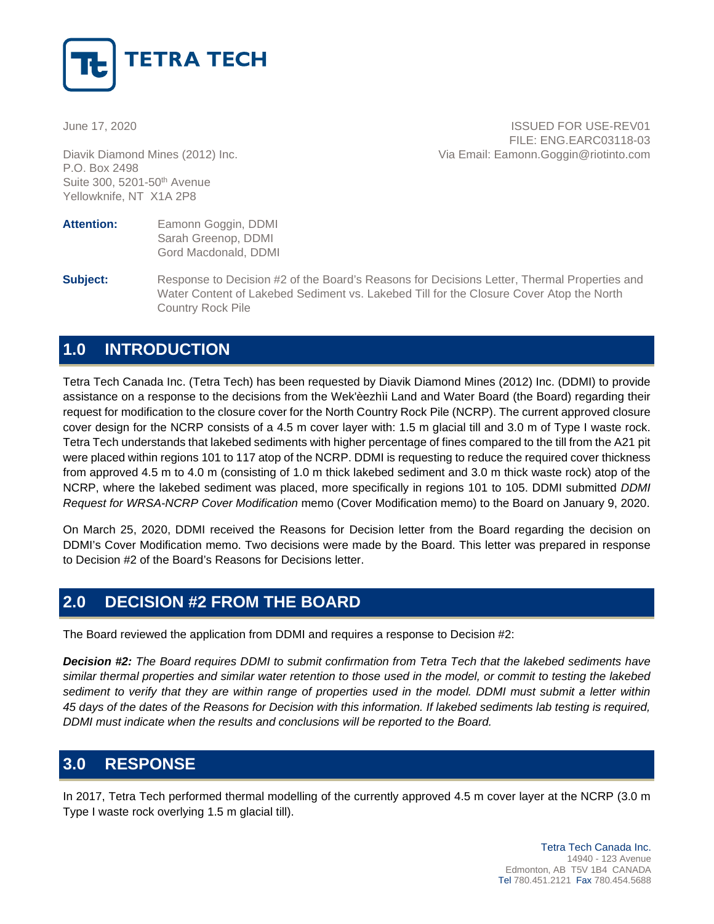

P.O. Box 2498 Suite 300, 5201-50th Avenue Yellowknife, NT X1A 2P8

June 17, 2020 **ISSUED FOR USE-REV01** FILE: ENG.EARC03118-03 Diavik Diamond Mines (2012) Inc. Via Email: Eamonn.Goggin@riotinto.com

- **Attention:** Eamonn Goggin, DDMI Sarah Greenop, DDMI Gord Macdonald, DDMI
- **Subject:** Response to Decision #2 of the Board's Reasons for Decisions Letter, Thermal Properties and Water Content of Lakebed Sediment vs. Lakebed Till for the Closure Cover Atop the North Country Rock Pile

## **1.0 INTRODUCTION**

Tetra Tech Canada Inc. (Tetra Tech) has been requested by Diavik Diamond Mines (2012) Inc. (DDMI) to provide assistance on a response to the decisions from the Wek'èezhìi Land and Water Board (the Board) regarding their request for modification to the closure cover for the North Country Rock Pile (NCRP). The current approved closure cover design for the NCRP consists of a 4.5 m cover layer with: 1.5 m glacial till and 3.0 m of Type I waste rock. Tetra Tech understands that lakebed sediments with higher percentage of fines compared to the till from the A21 pit were placed within regions 101 to 117 atop of the NCRP. DDMI is requesting to reduce the required cover thickness from approved 4.5 m to 4.0 m (consisting of 1.0 m thick lakebed sediment and 3.0 m thick waste rock) atop of the NCRP, where the lakebed sediment was placed, more specifically in regions 101 to 105. DDMI submitted *DDMI Request for WRSA-NCRP Cover Modification* memo (Cover Modification memo) to the Board on January 9, 2020.

On March 25, 2020, DDMI received the Reasons for Decision letter from the Board regarding the decision on DDMI's Cover Modification memo. Two decisions were made by the Board. This letter was prepared in response to Decision #2 of the Board's Reasons for Decisions letter.

## **2.0 DECISION #2 FROM THE BOARD**

The Board reviewed the application from DDMI and requires a response to Decision #2:

*Decision #2: The Board requires DDMI to submit confirmation from Tetra Tech that the lakebed sediments have similar thermal properties and similar water retention to those used in the model, or commit to testing the lakebed sediment to verify that they are within range of properties used in the model. DDMI must submit a letter within 45 days of the dates of the Reasons for Decision with this information. If lakebed sediments lab testing is required, DDMI must indicate when the results and conclusions will be reported to the Board.* 

# **3.0 RESPONSE**

In 2017, Tetra Tech performed thermal modelling of the currently approved 4.5 m cover layer at the NCRP (3.0 m Type I waste rock overlying 1.5 m glacial till).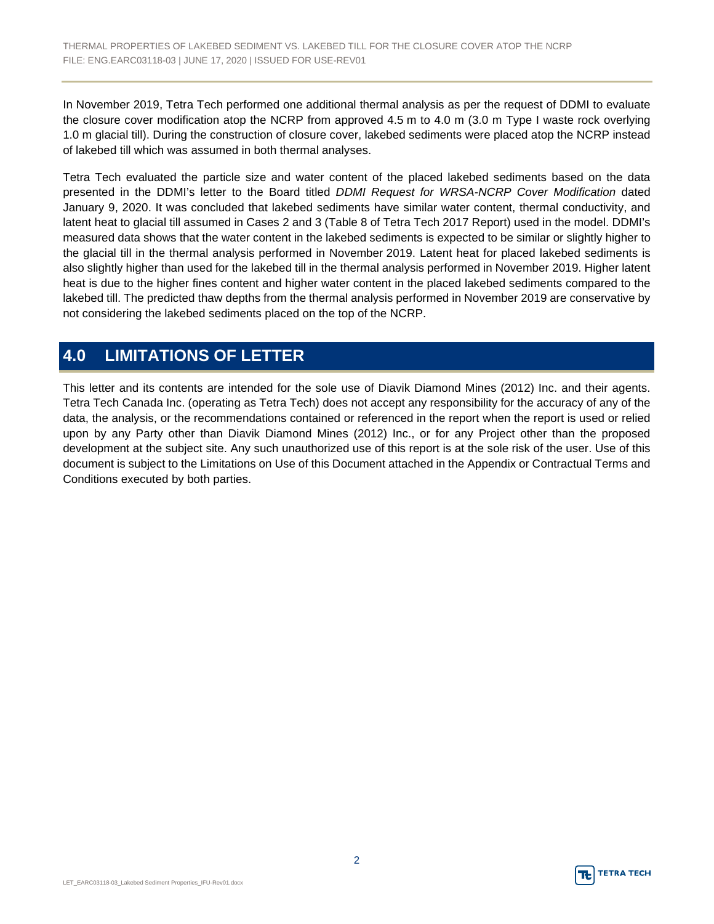In November 2019, Tetra Tech performed one additional thermal analysis as per the request of DDMI to evaluate the closure cover modification atop the NCRP from approved 4.5 m to 4.0 m (3.0 m Type I waste rock overlying 1.0 m glacial till). During the construction of closure cover, lakebed sediments were placed atop the NCRP instead of lakebed till which was assumed in both thermal analyses.

Tetra Tech evaluated the particle size and water content of the placed lakebed sediments based on the data presented in the DDMI's letter to the Board titled *DDMI Request for WRSA-NCRP Cover Modification* dated January 9, 2020. It was concluded that lakebed sediments have similar water content, thermal conductivity, and latent heat to glacial till assumed in Cases 2 and 3 (Table 8 of Tetra Tech 2017 Report) used in the model. DDMI's measured data shows that the water content in the lakebed sediments is expected to be similar or slightly higher to the glacial till in the thermal analysis performed in November 2019. Latent heat for placed lakebed sediments is also slightly higher than used for the lakebed till in the thermal analysis performed in November 2019. Higher latent heat is due to the higher fines content and higher water content in the placed lakebed sediments compared to the lakebed till. The predicted thaw depths from the thermal analysis performed in November 2019 are conservative by not considering the lakebed sediments placed on the top of the NCRP.

## **4.0 LIMITATIONS OF LETTER**

This letter and its contents are intended for the sole use of Diavik Diamond Mines (2012) Inc. and their agents. Tetra Tech Canada Inc. (operating as Tetra Tech) does not accept any responsibility for the accuracy of any of the data, the analysis, or the recommendations contained or referenced in the report when the report is used or relied upon by any Party other than Diavik Diamond Mines (2012) Inc., or for any Project other than the proposed development at the subject site. Any such unauthorized use of this report is at the sole risk of the user. Use of this document is subject to the Limitations on Use of this Document attached in the Appendix or Contractual Terms and Conditions executed by both parties.

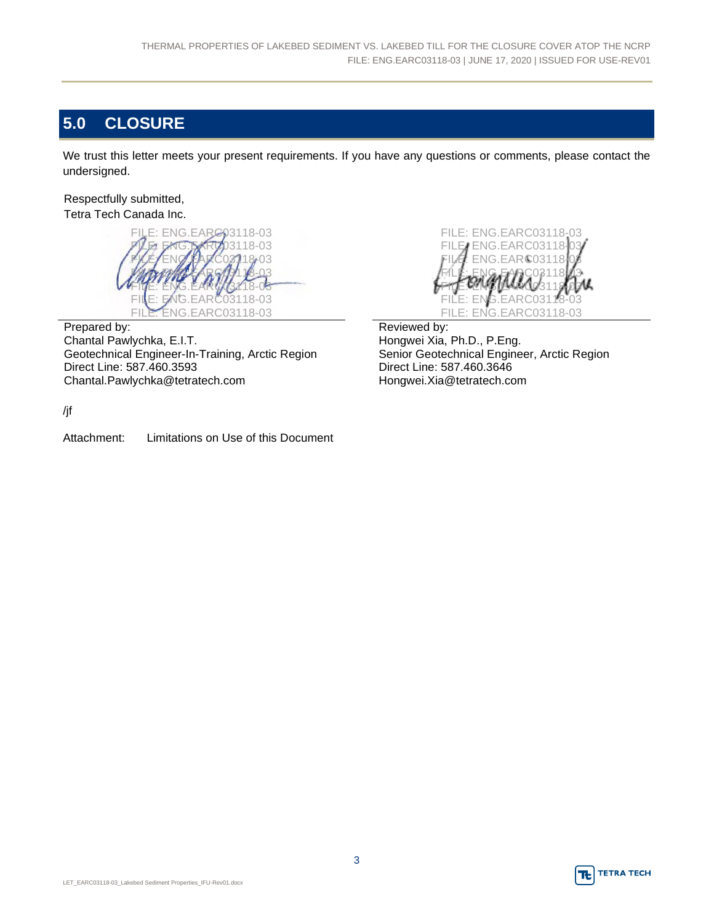# **5.0 CLOSURE**

We trust this letter meets your present requirements. If you have any questions or comments, please contact the undersigned.

Respectfully submitted, Tetra Tech Canada Inc.



Prepared by: Chantal Pawlychka, E.I.T. Geotechnical Engineer-In-Training, Arctic Region Direct Line: 587.460.3593 Chantal.Pawlychka@tetratech.com



Reviewed by: Hongwei Xia, Ph.D., P.Eng. Senior Geotechnical Engineer, Arctic Region Direct Line: 587.460.3646 Hongwei.Xia@tetratech.com

/jf

Attachment: Limitations on Use of this Document

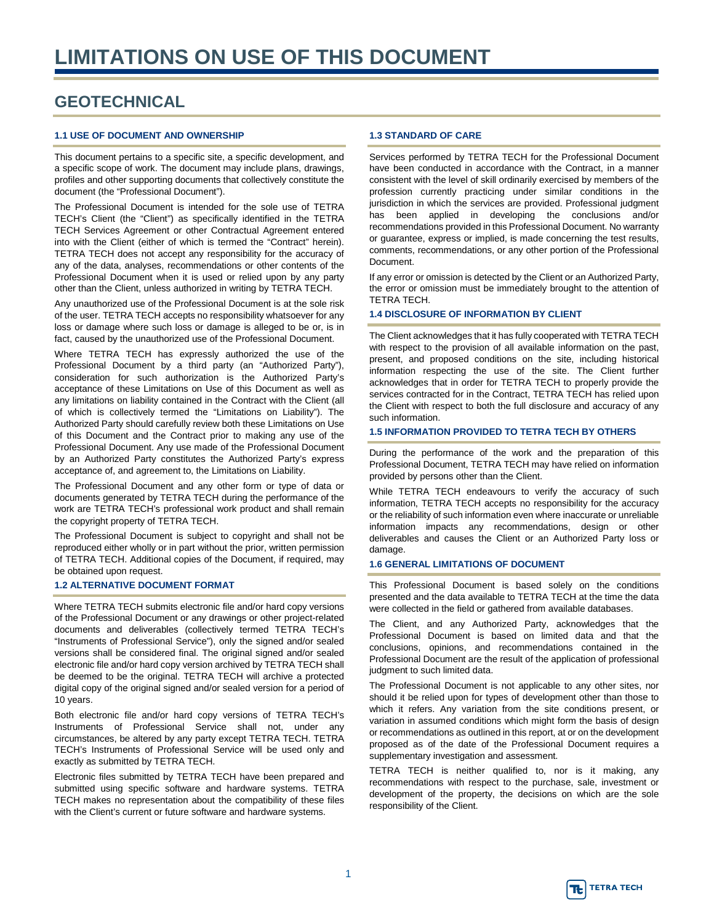## **GEOTECHNICAL**

### **1.1 USE OF DOCUMENT AND OWNERSHIP**

This document pertains to a specific site, a specific development, and a specific scope of work. The document may include plans, drawings, profiles and other supporting documents that collectively constitute the document (the "Professional Document").

The Professional Document is intended for the sole use of TETRA TECH's Client (the "Client") as specifically identified in the TETRA TECH Services Agreement or other Contractual Agreement entered into with the Client (either of which is termed the "Contract" herein). TETRA TECH does not accept any responsibility for the accuracy of any of the data, analyses, recommendations or other contents of the Professional Document when it is used or relied upon by any party other than the Client, unless authorized in writing by TETRA TECH.

Any unauthorized use of the Professional Document is at the sole risk of the user. TETRA TECH accepts no responsibility whatsoever for any loss or damage where such loss or damage is alleged to be or, is in fact, caused by the unauthorized use of the Professional Document.

Where TETRA TECH has expressly authorized the use of the Professional Document by a third party (an "Authorized Party"), consideration for such authorization is the Authorized Party's acceptance of these Limitations on Use of this Document as well as any limitations on liability contained in the Contract with the Client (all of which is collectively termed the "Limitations on Liability"). The Authorized Party should carefully review both these Limitations on Use of this Document and the Contract prior to making any use of the Professional Document. Any use made of the Professional Document by an Authorized Party constitutes the Authorized Party's express acceptance of, and agreement to, the Limitations on Liability.

The Professional Document and any other form or type of data or documents generated by TETRA TECH during the performance of the work are TETRA TECH's professional work product and shall remain the copyright property of TETRA TECH.

The Professional Document is subject to copyright and shall not be reproduced either wholly or in part without the prior, written permission of TETRA TECH. Additional copies of the Document, if required, may be obtained upon request.

### **1.2 ALTERNATIVE DOCUMENT FORMAT**

Where TETRA TECH submits electronic file and/or hard copy versions of the Professional Document or any drawings or other project-related documents and deliverables (collectively termed TETRA TECH's "Instruments of Professional Service"), only the signed and/or sealed versions shall be considered final. The original signed and/or sealed electronic file and/or hard copy version archived by TETRA TECH shall be deemed to be the original. TETRA TECH will archive a protected digital copy of the original signed and/or sealed version for a period of 10 years.

Both electronic file and/or hard copy versions of TETRA TECH's Instruments of Professional Service shall not, under any circumstances, be altered by any party except TETRA TECH. TETRA TECH's Instruments of Professional Service will be used only and exactly as submitted by TETRA TECH.

Electronic files submitted by TETRA TECH have been prepared and submitted using specific software and hardware systems. TETRA TECH makes no representation about the compatibility of these files with the Client's current or future software and hardware systems.

### **1.3 STANDARD OF CARE**

Services performed by TETRA TECH for the Professional Document have been conducted in accordance with the Contract, in a manner consistent with the level of skill ordinarily exercised by members of the profession currently practicing under similar conditions in the jurisdiction in which the services are provided. Professional judgment has been applied in developing the conclusions and/or recommendations provided in this Professional Document. No warranty or guarantee, express or implied, is made concerning the test results, comments, recommendations, or any other portion of the Professional Document.

If any error or omission is detected by the Client or an Authorized Party, the error or omission must be immediately brought to the attention of TETRA TECH.

#### **1.4 DISCLOSURE OF INFORMATION BY CLIENT**

The Client acknowledges that it has fully cooperated with TETRA TECH with respect to the provision of all available information on the past, present, and proposed conditions on the site, including historical information respecting the use of the site. The Client further acknowledges that in order for TETRA TECH to properly provide the services contracted for in the Contract, TETRA TECH has relied upon the Client with respect to both the full disclosure and accuracy of any such information.

#### **1.5 INFORMATION PROVIDED TO TETRA TECH BY OTHERS**

During the performance of the work and the preparation of this Professional Document, TETRA TECH may have relied on information provided by persons other than the Client.

While TETRA TECH endeavours to verify the accuracy of such information, TETRA TECH accepts no responsibility for the accuracy or the reliability of such information even where inaccurate or unreliable information impacts any recommendations, design or other deliverables and causes the Client or an Authorized Party loss or damage.

#### **1.6 GENERAL LIMITATIONS OF DOCUMENT**

This Professional Document is based solely on the conditions presented and the data available to TETRA TECH at the time the data were collected in the field or gathered from available databases.

The Client, and any Authorized Party, acknowledges that the Professional Document is based on limited data and that the conclusions, opinions, and recommendations contained in the Professional Document are the result of the application of professional judgment to such limited data.

The Professional Document is not applicable to any other sites, nor should it be relied upon for types of development other than those to which it refers. Any variation from the site conditions present, or variation in assumed conditions which might form the basis of design or recommendations as outlined in this report, at or on the development proposed as of the date of the Professional Document requires a supplementary investigation and assessment.

TETRA TECH is neither qualified to, nor is it making, any recommendations with respect to the purchase, sale, investment or development of the property, the decisions on which are the sole responsibility of the Client.